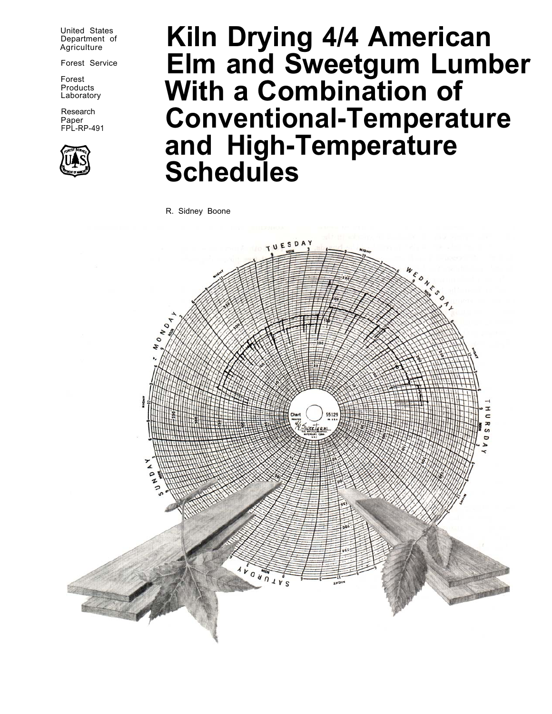United States<br>Department of **Agriculture** 

Products<br>Laboratory

Research Paper<br>FPL-RP-491



# **Kiln Drying 4/4 American** Forest Service **Elm and Sweetgum Lumber With a Combination of Conventional-Temperature and High-Temperature Schedules**

R. Sidney Boone

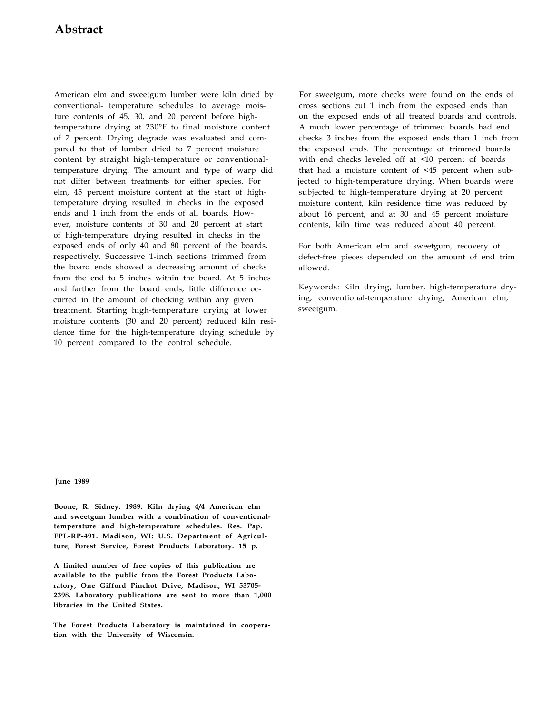# **Abstract**

American elm and sweetgum lumber were kiln dried by conventional- temperature schedules to average moisture contents of 45, 30, and 20 percent before hightemperature drying at 230°F to final moisture content of 7 percent. Drying degrade was evaluated and compared to that of lumber dried to 7 percent moisture content by straight high-temperature or conventionaltemperature drying. The amount and type of warp did not differ between treatments for either species. For elm, 45 percent moisture content at the start of hightemperature drying resulted in checks in the exposed ends and 1 inch from the ends of all boards. However, moisture contents of 30 and 20 percent at start of high-temperature drying resulted in checks in the exposed ends of only 40 and 80 percent of the boards, respectively. Successive 1-inch sections trimmed from the board ends showed a decreasing amount of checks from the end to 5 inches within the board. At 5 inches and farther from the board ends, little difference occurred in the amount of checking within any given treatment. Starting high-temperature drying at lower moisture contents (30 and 20 percent) reduced kiln residence time for the high-temperature drying schedule by 10 percent compared to the control schedule.

For sweetgum, more checks were found on the ends of cross sections cut 1 inch from the exposed ends than on the exposed ends of all treated boards and controls. A much lower percentage of trimmed boards had end checks 3 inches from the exposed ends than 1 inch from the exposed ends. The percentage of trimmed boards with end checks leveled off at  $\leq 10$  percent of boards that had a moisture content of  $\leq 45$  percent when subjected to high-temperature drying. When boards were subjected to high-temperature drying at 20 percent moisture content, kiln residence time was reduced by about 16 percent, and at 30 and 45 percent moisture contents, kiln time was reduced about 40 percent.

For both American elm and sweetgum, recovery of defect-free pieces depended on the amount of end trim allowed.

Keywords: Kiln drying, lumber, high-temperature drying, conventional-temperature drying, American elm, sweetgum.

**June 1989** 

**Boone, R. Sidney. 1989. Kiln drying 4/4 American elm and sweetgum lumber with a combination of conventionaltemperature and high-temperature schedules. Res. Pap. FPL-RP-491. Madison, WI: U.S. Department of Agriculture, Forest Service, Forest Products Laboratory. 15 p.** 

**A limited number of free copies of this publication are available to the public from the Forest Products Laboratory, One Gifford Pinchot Drive, Madison, WI 53705- 2398. Laboratory publications are sent to more than 1,000 libraries in the United States.** 

**The Forest Products Laboratory is maintained in cooperation with the University of Wisconsin.**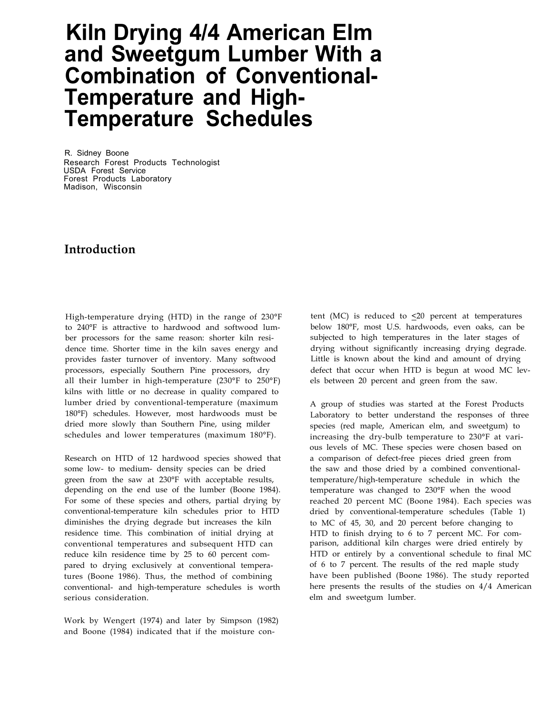# **Kiln Drying 4/4 American Elm and Sweetgum Lumber With a Combination of Conventional-Temperature and High-Temperature Schedules**

R. Sidney Boone Research Forest Products Technologist USDA Forest Service Forest Products Laboratory Madison, Wisconsin

## **Introduction**

High-temperature drying (HTD) in the range of 230°F to 240°F is attractive to hardwood and softwood lumber processors for the same reason: shorter kiln residence time. Shorter time in the kiln saves energy and provides faster turnover of inventory. Many softwood processors, especially Southern Pine processors, dry all their lumber in high-temperature (230°F to 250°F) kilns with little or no decrease in quality compared to lumber dried by conventional-temperature (maximum 180°F) schedules. However, most hardwoods must be dried more slowly than Southern Pine, using milder schedules and lower temperatures (maximum 180°F).

Research on HTD of 12 hardwood species showed that some low- to medium- density species can be dried green from the saw at 230°F with acceptable results, depending on the end use of the lumber (Boone 1984). For some of these species and others, partial drying by conventional-temperature kiln schedules prior to HTD diminishes the drying degrade but increases the kiln residence time. This combination of initial drying at conventional temperatures and subsequent HTD can reduce kiln residence time by 25 to 60 percent compared to drying exclusively at conventional temperatures (Boone 1986). Thus, the method of combining conventional- and high-temperature schedules is worth serious consideration.

Work by Wengert (1974) and later by Simpson (1982) and Boone (1984) indicated that if the moisture con-

tent (MC) is reduced to  $\leq 20$  percent at temperatures below 180°F, most U.S. hardwoods, even oaks, can be subjected to high temperatures in the later stages of drying without significantly increasing drying degrade. Little is known about the kind and amount of drying defect that occur when HTD is begun at wood MC levels between 20 percent and green from the saw.

A group of studies was started at the Forest Products Laboratory to better understand the responses of three species (red maple, American elm, and sweetgum) to increasing the dry-bulb temperature to 230°F at various levels of MC. These species were chosen based on a comparison of defect-free pieces dried green from the saw and those dried by a combined conventionaltemperature/high-temperature schedule in which the temperature was changed to 230°F when the wood reached 20 percent MC (Boone 1984). Each species was dried by conventional-temperature schedules (Table 1) to MC of 45, 30, and 20 percent before changing to HTD to finish drying to 6 to 7 percent MC. For comparison, additional kiln charges were dried entirely by HTD or entirely by a conventional schedule to final MC of 6 to 7 percent. The results of the red maple study have been published (Boone 1986). The study reported here presents the results of the studies on 4/4 American elm and sweetgum lumber.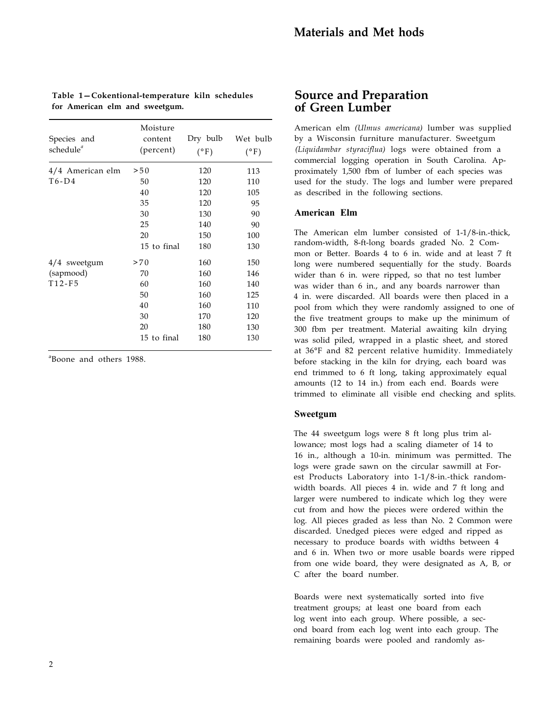| Moisture<br>content<br>(percent) | Dry bulb<br>$(^{\circ}F)$ | Wet bulb<br>$(^{\circ}F)$ |
|----------------------------------|---------------------------|---------------------------|
| > 50                             | 120                       | 113                       |
| 50                               | 120                       | 110                       |
| 40                               | 120                       | 105                       |
| 35                               | 120                       | 95                        |
| 30                               | 130                       | 90                        |
| 25                               | 140                       | 90                        |
| 20                               | 150                       | 100                       |
| 15 to final                      | 180                       | 130                       |
| >70                              | 160                       | 150                       |
| 70                               | 160                       | 146                       |
| 60                               | 160                       | 140                       |
| 50                               | 160                       | 125                       |
| 40                               | 160                       | 110                       |
| 30                               | 170                       | 120                       |
| 20                               | 180                       | 130                       |
|                                  |                           |                           |

15 to final 180 130

#### Table 1-Cokentional-temperature kiln schedules **for American elm and sweetgum.**

a Boone and others 1988.

#### **Source and Preparation of Green Lumber**

American elm *(Ulmus americana)* lumber was supplied by a Wisconsin furniture manufacturer. Sweetgum *(Liquidambar styraciflua)* logs were obtained from a commercial logging operation in South Carolina. Approximately 1,500 fbm of lumber of each species was used for the study. The logs and lumber were prepared as described in the following sections.

#### **American Elm**

The American elm lumber consisted of 1-1/8-in.-thick, random-width, 8-ft-long boards graded No. 2 Common or Better. Boards 4 to 6 in. wide and at least 7 ft long were numbered sequentially for the study. Boards wider than 6 in. were ripped, so that no test lumber was wider than 6 in., and any boards narrower than 4 in. were discarded. All boards were then placed in a pool from which they were randomly assigned to one of the five treatment groups to make up the minimum of 300 fbm per treatment. Material awaiting kiln drying was solid piled, wrapped in a plastic sheet, and stored at 36°F and 82 percent relative humidity. Immediately before stacking in the kiln for drying, each board was end trimmed to 6 ft long, taking approximately equal amounts (12 to 14 in.) from each end. Boards were trimmed to eliminate all visible end checking and splits.

#### **Sweetgum**

The 44 sweetgum logs were 8 ft long plus trim allowance; most logs had a scaling diameter of 14 to 16 in., although a 10-in. minimum was permitted. The logs were grade sawn on the circular sawmill at Forest Products Laboratory into 1-1/8-in.-thick randomwidth boards. All pieces 4 in. wide and 7 ft long and larger were numbered to indicate which log they were cut from and how the pieces were ordered within the log. All pieces graded as less than No. 2 Common were discarded. Unedged pieces were edged and ripped as necessary to produce boards with widths between 4 and 6 in. When two or more usable boards were ripped from one wide board, they were designated as A, B, or C after the board number.

Boards were next systematically sorted into five treatment groups; at least one board from each log went into each group. Where possible, a second board from each log went into each group. The remaining boards were pooled and randomly as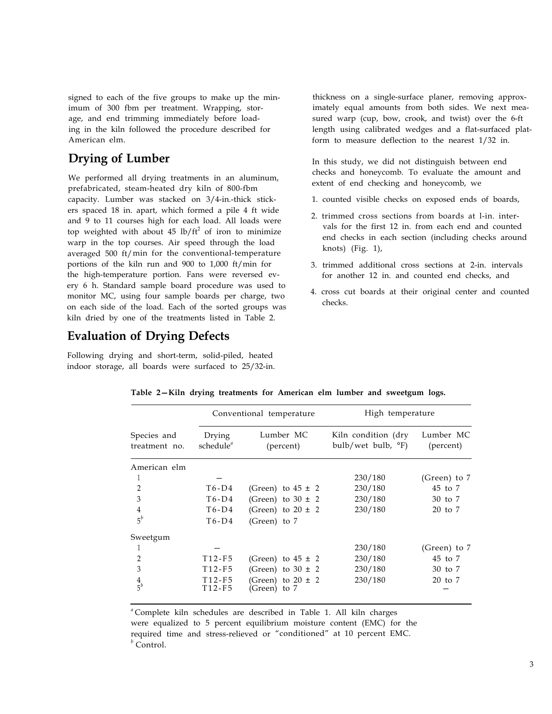signed to each of the five groups to make up the minimum of 300 fbm per treatment. Wrapping, storage, and end trimming immediately before loading in the kiln followed the procedure described for American elm.

# **Drying of Lumber**

We performed all drying treatments in an aluminum, prefabricated, steam-heated dry kiln of 800-fbm capacity. Lumber was stacked on 3/4-in.-thick stickers spaced 18 in. apart, which formed a pile 4 ft wide and 9 to 11 courses high for each load. All loads were top weighted with about  $45 \text{ lb/ft}^2$  of iron to minimize warp in the top courses. Air speed through the load averaged 500 ft/min for the conventional-temperature portions of the kiln run and 900 to 1,000 ft/min for the high-temperature portion. Fans were reversed every 6 h. Standard sample board procedure was used to monitor MC, using four sample boards per charge, two on each side of the load. Each of the sorted groups was kiln dried by one of the treatments listed in Table 2.

# **Evaluation of Drying Defects**

Following drying and short-term, solid-piled, heated indoor storage, all boards were surfaced to 25/32-in. thickness on a single-surface planer, removing approximately equal amounts from both sides. We next measured warp (cup, bow, crook, and twist) over the 6-ft length using calibrated wedges and a flat-surfaced platform to measure deflection to the nearest 1/32 in.

In this study, we did not distinguish between end checks and honeycomb. To evaluate the amount and extent of end checking and honeycomb, we

- 1. counted visible checks on exposed ends of boards,
- 2. trimmed cross sections from boards at l-in. intervals for the first 12 in. from each end and counted end checks in each section (including checks around knots) (Fig. 1),
- 3. trimmed additional cross sections at 2-in. intervals for another 12 in. and counted end checks, and
- 4. cross cut boards at their original center and counted checks.

|                              |                                 | Conventional temperature          | High temperature                                   |                        |  |
|------------------------------|---------------------------------|-----------------------------------|----------------------------------------------------|------------------------|--|
| Species and<br>treatment no. | Drying<br>$s$ chedule $a$       | Lumber MC<br>(percent)            | Kiln condition (dry<br>bulb/wet bulb, $\degree$ F) | Lumber MC<br>(percent) |  |
| American elm                 |                                 |                                   |                                                    |                        |  |
| 1                            |                                 |                                   | 230/180                                            | (Green) to $7$         |  |
| $\overline{2}$               | $T6-D4$                         | (Green) to $45 \pm 2$             | 230/180                                            | 45 to 7                |  |
| 3                            | $T6-D4$                         | (Green) to $30 \pm 2$             | 230/180                                            | 30 to 7                |  |
| $\overline{4}$               | $T6-D4$                         | (Green) to $20 \pm 2$             | 230/180                                            | 20 to 7                |  |
| $5^b$                        | $T6-D4$                         | (Green) to 7                      |                                                    |                        |  |
| Sweetgum                     |                                 |                                   |                                                    |                        |  |
|                              |                                 |                                   | 230/180                                            | (Green) to $7$         |  |
| $\mathfrak{D}$               | T <sub>12</sub> -F <sub>5</sub> | (Green) to $45 \pm 2$             | 230/180                                            | 45 to 7                |  |
| 3                            | T <sub>12</sub> -F <sub>5</sub> | (Green) to $30 \pm 2$             | 230/180                                            | 30 to 7                |  |
| $\frac{4}{5}$                | T12-F5<br>T12-F5                | (Green) to 20 ± 2<br>(Green) to 7 | 230/180                                            | 20 to 7                |  |

Table 2–Kiln drying treatments for American elm lumber and sweetgum logs.

*<sup>a</sup>* Complete kiln schedules are described in Table 1. All kiln charges were equalized to 5 percent equilibrium moisture content (EMC) for the required time and stress-relieved or "conditioned" at 10 percent EMC. *<sup>b</sup>* Control.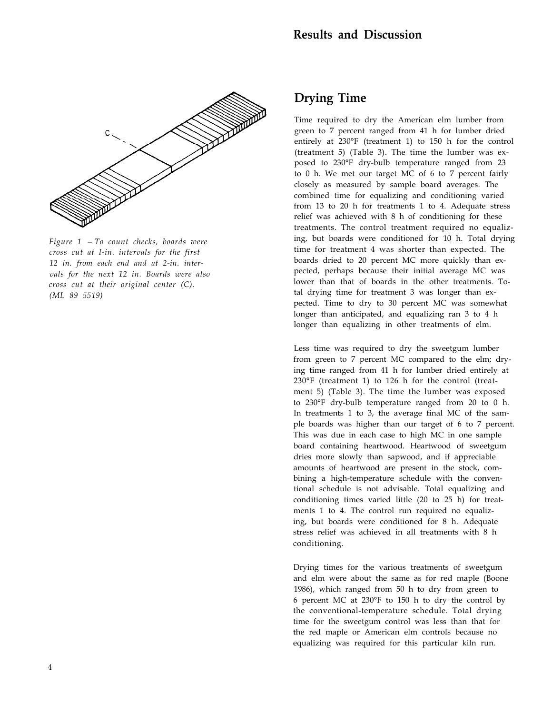

*Figure 1 – To count checks, boards were cross cut at I-in. intervals for the first 12 in. from each end and at 2-in. intervals for the next 12 in. Boards were also cross cut at their original center (C). (ML 89 5519)* 

### **Drying Time**

Time required to dry the American elm lumber from green to 7 percent ranged from 41 h for lumber dried entirely at 230°F (treatment 1) to 150 h for the control (treatment 5) (Table 3). The time the lumber was exposed to 230°F dry-bulb temperature ranged from 23 to 0 h. We met our target MC of 6 to 7 percent fairly closely as measured by sample board averages. The combined time for equalizing and conditioning varied from 13 to 20 h for treatments 1 to 4. Adequate stress relief was achieved with 8 h of conditioning for these treatments. The control treatment required no equalizing, but boards were conditioned for 10 h. Total drying time for treatment 4 was shorter than expected. The boards dried to 20 percent MC more quickly than expected, perhaps because their initial average MC was lower than that of boards in the other treatments. Total drying time for treatment 3 was longer than expected. Time to dry to 30 percent MC was somewhat longer than anticipated, and equalizing ran 3 to 4 h longer than equalizing in other treatments of elm.

Less time was required to dry the sweetgum lumber from green to 7 percent MC compared to the elm; drying time ranged from 41 h for lumber dried entirely at 230°F (treatment 1) to 126 h for the control (treatment 5) (Table 3). The time the lumber was exposed to 230°F dry-bulb temperature ranged from 20 to 0 h. In treatments 1 to 3, the average final MC of the sample boards was higher than our target of 6 to 7 percent. This was due in each case to high MC in one sample board containing heartwood. Heartwood of sweetgum dries more slowly than sapwood, and if appreciable amounts of heartwood are present in the stock, combining a high-temperature schedule with the conventional schedule is not advisable. Total equalizing and conditioning times varied little (20 to 25 h) for treatments 1 to 4. The control run required no equalizing, but boards were conditioned for 8 h. Adequate stress relief was achieved in all treatments with 8 h conditioning.

Drying times for the various treatments of sweetgum and elm were about the same as for red maple (Boone 1986), which ranged from 50 h to dry from green to 6 percent MC at 230°F to 150 h to dry the control by the conventional-temperature schedule. Total drying time for the sweetgum control was less than that for the red maple or American elm controls because no equalizing was required for this particular kiln run.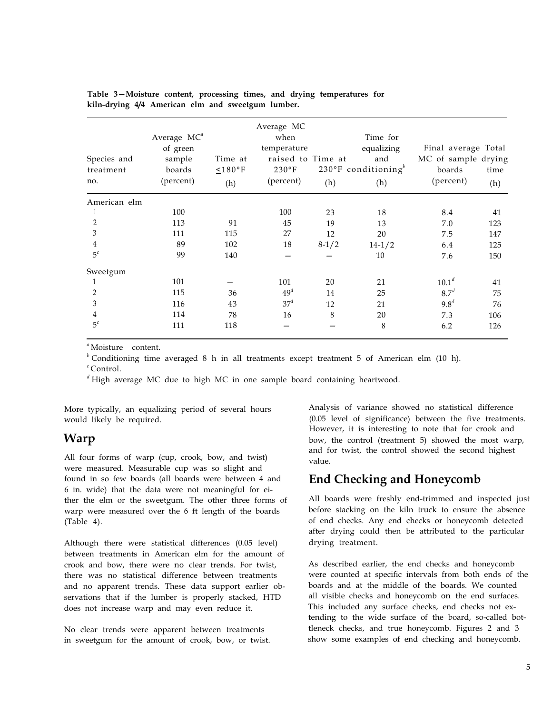| Species and<br>treatment<br>no. | Average MC <sup>a</sup><br>of green<br>sample<br>boards<br>(percent) | Time at<br>$\leq 180$ °F<br>(h) | Average MC<br>when<br>temperature<br>raised to Time at<br>$230^{\circ}F$<br>(percent) | (h)     | Time for<br>equalizing<br>and<br>230°F conditioning <sup>b</sup><br>(h) | Final average Total<br>MC of sample drying<br>boards<br>(percent) | time<br>(h) |
|---------------------------------|----------------------------------------------------------------------|---------------------------------|---------------------------------------------------------------------------------------|---------|-------------------------------------------------------------------------|-------------------------------------------------------------------|-------------|
| American elm                    |                                                                      |                                 |                                                                                       |         |                                                                         |                                                                   |             |
|                                 | 100                                                                  |                                 | 100                                                                                   | 23      | 18                                                                      | 8.4                                                               | 41          |
| $\overline{2}$                  | 113                                                                  | 91                              | 45                                                                                    | 19      | 13                                                                      | 7.0                                                               | 123         |
| 3                               | 111                                                                  | 115                             | 27                                                                                    | 12      | 20                                                                      | 7.5                                                               | 147         |
| 4                               | 89                                                                   | 102                             | 18                                                                                    | $8-1/2$ | $14-1/2$                                                                | 6.4                                                               | 125         |
| 5 <sup>c</sup>                  | 99                                                                   | 140                             |                                                                                       |         | 10                                                                      | 7.6                                                               | 150         |
| Sweetgum                        |                                                                      |                                 |                                                                                       |         |                                                                         |                                                                   |             |
|                                 | 101                                                                  |                                 | 101                                                                                   | 20      | 21                                                                      | $10.1^d$                                                          | 41          |
| 2                               | 115                                                                  | 36                              | 49 <sup>d</sup>                                                                       | 14      | 25                                                                      | 8.7 <sup>d</sup>                                                  | 75          |
| 3                               | 116                                                                  | 43                              | 37 <sup>d</sup>                                                                       | 12      | 21                                                                      | $9.8^d$                                                           | 76          |
| 4                               | 114                                                                  | 78                              | 16                                                                                    | 8       | 20                                                                      | 7.3                                                               | 106         |
| 5 <sup>c</sup>                  | 111                                                                  | 118                             |                                                                                       |         | 8                                                                       | 6.2                                                               | 126         |

Table 3–Moisture content, processing times, and drying temperatures for **kiln-drying 4/4 American elm and sweetgum lumber.** 

*a* Moisture content.

*b* Conditioning time averaged 8 h in all treatments except treatment 5 of American elm (10 h). *c* Control.

*<sup>d</sup>* High average MC due to high MC in one sample board containing heartwood.

More typically, an equalizing period of several hours would likely be required.

#### **Warp**

All four forms of warp (cup, crook, bow, and twist) were measured. Measurable cup was so slight and found in so few boards (all boards were between 4 and 6 in. wide) that the data were not meaningful for either the elm or the sweetgum. The other three forms of warp were measured over the 6 ft length of the boards (Table 4).

Although there were statistical differences (0.05 level) between treatments in American elm for the amount of crook and bow, there were no clear trends. For twist, there was no statistical difference between treatments and no apparent trends. These data support earlier observations that if the lumber is properly stacked, HTD does not increase warp and may even reduce it.

No clear trends were apparent between treatments in sweetgum for the amount of crook, bow, or twist. Analysis of variance showed no statistical difference (0.05 level of significance) between the five treatments. However, it is interesting to note that for crook and bow, the control (treatment 5) showed the most warp, and for twist, the control showed the second highest value.

# **End Checking and Honeycomb**

All boards were freshly end-trimmed and inspected just before stacking on the kiln truck to ensure the absence of end checks. Any end checks or honeycomb detected after drying could then be attributed to the particular drying treatment.

As described earlier, the end checks and honeycomb were counted at specific intervals from both ends of the boards and at the middle of the boards. We counted all visible checks and honeycomb on the end surfaces. This included any surface checks, end checks not extending to the wide surface of the board, so-called bottleneck checks, and true honeycomb. Figures 2 and 3 show some examples of end checking and honeycomb.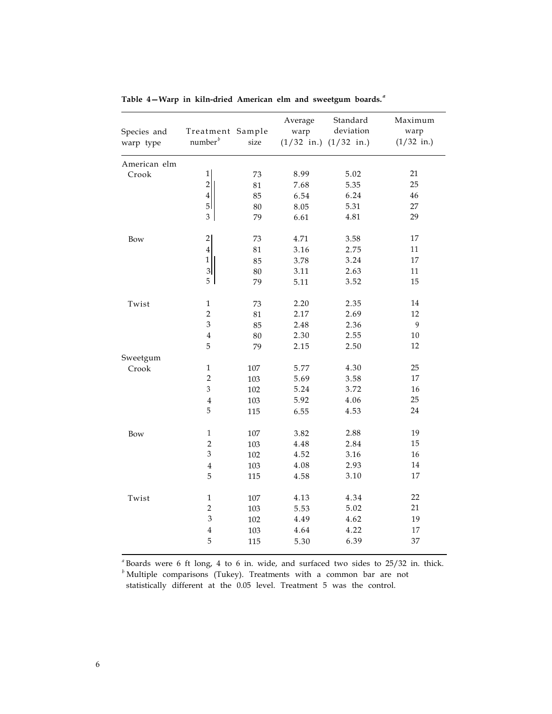| Species and<br>warp type | Treatment Sample<br>number <sup>b</sup> | size   | Average<br>warp | Standard<br>deviation<br>$(1/32$ in.) $(1/32$ in.) | Maximum<br>warp<br>$(1/32$ in.) |
|--------------------------|-----------------------------------------|--------|-----------------|----------------------------------------------------|---------------------------------|
| American elm             |                                         |        |                 |                                                    |                                 |
| Crook                    | $\mathbf 1$                             | 73     | 8.99            | 5.02                                               | 21                              |
|                          | $\overline{2}$                          | $81\,$ | 7.68            | 5.35                                               | 25                              |
|                          | $\boldsymbol{4}$                        | 85     | 6.54            | 6.24                                               | 46                              |
|                          | $\overline{5}$                          | 80     | 8.05            | 5.31                                               | 27                              |
|                          | 3                                       | 79     | 6.61            | 4.81                                               | 29                              |
| Bow                      | $\overline{2}$                          | 73     | 4.71            | 3.58                                               | 17                              |
|                          | $\bf 4$                                 | 81     | 3.16            | 2.75                                               | 11                              |
|                          | $\mathbf{1}$                            | 85     | 3.78            | 3.24                                               | 17                              |
|                          | $\mathbf{3}$                            | 80     | 3.11            | 2.63                                               | 11                              |
|                          | 5                                       | 79     | 5.11            | 3.52                                               | 15                              |
| Twist                    | $\mathbf{1}$                            | 73     | 2.20            | 2.35                                               | 14                              |
|                          | $\overline{2}$                          | 81     | 2.17            | 2.69                                               | 12                              |
|                          | 3                                       | 85     | 2.48            | 2.36                                               | 9                               |
|                          | $\overline{4}$                          | 80     | 2.30            | 2.55                                               | 10                              |
|                          | 5                                       | 79     | 2.15            | 2.50                                               | 12                              |
| Sweetgum                 |                                         |        |                 |                                                    |                                 |
| Crook                    | $\mathbf{1}$                            | 107    | 5.77            | 4.30                                               | 25                              |
|                          | $\overline{2}$                          | 103    | 5.69            | 3.58                                               | 17                              |
|                          | 3                                       | 102    | 5.24            | 3.72                                               | 16                              |
|                          | $\overline{4}$                          | 103    | 5.92            | 4.06                                               | 25                              |
|                          | 5                                       | 115    | 6.55            | 4.53                                               | 24                              |
| Bow                      | $\,1\,$                                 | 107    | 3.82            | 2.88                                               | 19                              |
|                          | $\overline{2}$                          | 103    | 4.48            | 2.84                                               | 15                              |
|                          | $\mathfrak{Z}$                          | 102    | 4.52            | 3.16                                               | $16\,$                          |
|                          | $\overline{4}$                          | 103    | 4.08            | 2.93                                               | $14\,$                          |
|                          | 5                                       | 115    | 4.58            | 3.10                                               | 17                              |
| Twist                    | $\mathbf 1$                             | 107    | 4.13            | 4.34                                               | 22                              |
|                          | $\overline{2}$                          | 103    | 5.53            | 5.02                                               | 21                              |
|                          | $\mathfrak{Z}$                          | 102    | 4.49            | 4.62                                               | 19                              |
|                          | $\overline{4}$                          | 103    | 4.64            | 4.22                                               | $17\,$                          |
|                          | 5                                       | 115    | 5.30            | 6.39                                               | 37                              |
|                          |                                         |        |                 |                                                    |                                 |

Table 4–Warp in kiln-dried American elm and sweetgum boards.<sup>*a*</sup>

<sup>a</sup> Boards were 6 ft long, 4 to 6 in. wide, and surfaced two sides to 25/32 in. thick.

*b* Multiple comparisons (Tukey). Treatments with a common bar are not statistically different at the 0.05 level. Treatment 5 was the control.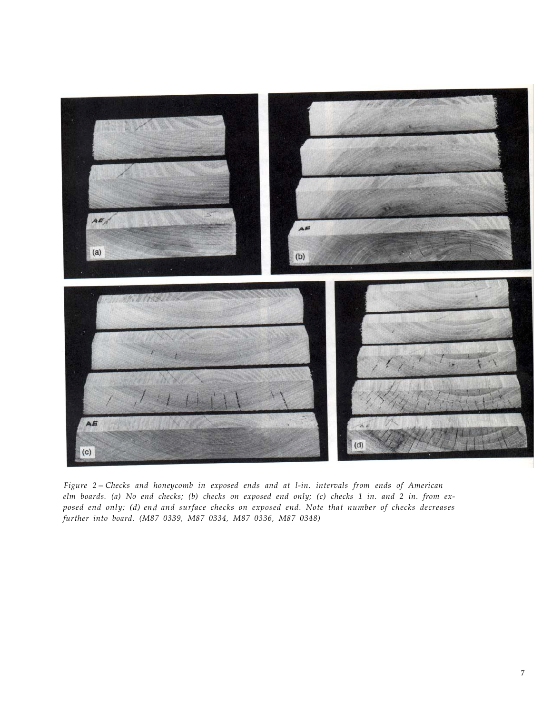

Figure 2–Checks and honeycomb in exposed ends and at l-in. intervals from ends of American *elm boards. (a) No end checks; (b) checks on exposed end only; (c) checks 1 in. and 2 in. from exposed end only; (d) end and surface checks on exposed end. Note that number of checks decreases further into board. (M87 0339, M87 0334, M87 0336, M87 0348)*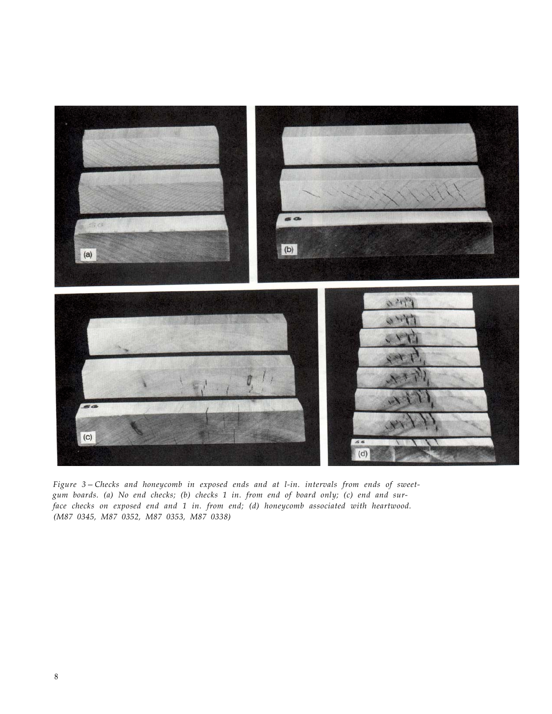

Figure 3-Checks and honeycomb in exposed ends and at l-in. intervals from ends of sweet*gum boards. (a) No end checks; (b) checks 1 in. from end of board only; (c) end and surface checks on exposed end and 1 in. from end; (d) honeycomb associated with heartwood. (M87 0345, M87 0352, M87 0353, M87 0338)*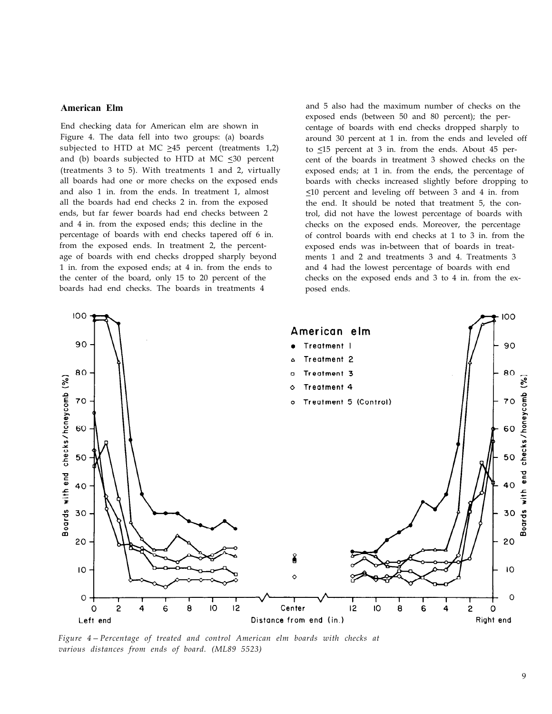#### **American Elm**

End checking data for American elm are shown in Figure 4. The data fell into two groups: (a) boards subjected to HTD at MC  $\geq$ 45 percent (treatments 1,2) and (b) boards subjected to HTD at MC  $\leq$ 30 percent (treatments 3 to 5). With treatments 1 and 2, virtually all boards had one or more checks on the exposed ends and also 1 in. from the ends. In treatment 1, almost all the boards had end checks 2 in. from the exposed ends, but far fewer boards had end checks between 2 and 4 in. from the exposed ends; this decline in the percentage of boards with end checks tapered off 6 in. from the exposed ends. In treatment 2, the percentage of boards with end checks dropped sharply beyond 1 in. from the exposed ends; at 4 in. from the ends to the center of the board, only 15 to 20 percent of the boards had end checks. The boards in treatments 4

and 5 also had the maximum number of checks on the exposed ends (between 50 and 80 percent); the percentage of boards with end checks dropped sharply to around 30 percent at 1 in. from the ends and leveled off to <15 percent at 3 in. from the ends. About 45 percent of the boards in treatment 3 showed checks on the exposed ends; at 1 in. from the ends, the percentage of boards with checks increased slightly before dropping to  $\leq$ 10 percent and leveling off between 3 and 4 in. from the end. It should be noted that treatment 5, the control, did not have the lowest percentage of boards with checks on the exposed ends. Moreover, the percentage of control boards with end checks at 1 to 3 in. from the exposed ends was in-between that of boards in treatments 1 and 2 and treatments 3 and 4. Treatments 3 and 4 had the lowest percentage of boards with end checks on the exposed ends and 3 to 4 in. from the exposed ends.



Figure 4–Percentage of treated and control American elm boards with checks at *various distances from ends of board. (ML89 5523)*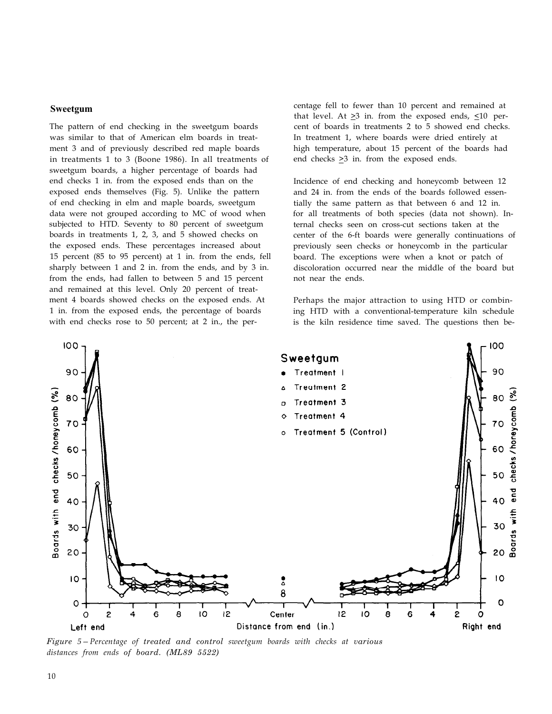#### **Sweetgum**

The pattern of end checking in the sweetgum boards was similar to that of American elm boards in treatment 3 and of previously described red maple boards in treatments 1 to 3 (Boone 1986). In all treatments of sweetgum boards, a higher percentage of boards had end checks 1 in. from the exposed ends than on the exposed ends themselves (Fig. 5). Unlike the pattern of end checking in elm and maple boards, sweetgum data were not grouped according to MC of wood when subjected to HTD. Seventy to 80 percent of sweetgum boards in treatments 1, 2, 3, and 5 showed checks on the exposed ends. These percentages increased about 15 percent (85 to 95 percent) at 1 in. from the ends, fell sharply between 1 and 2 in. from the ends, and by 3 in. from the ends, had fallen to between 5 and 15 percent and remained at this level. Only 20 percent of treatment 4 boards showed checks on the exposed ends. At 1 in. from the exposed ends, the percentage of boards with end checks rose to 50 percent; at 2 in., the percentage fell to fewer than 10 percent and remained at that level. At  $\geq$ 3 in. from the exposed ends,  $\leq$ 10 percent of boards in treatments 2 to 5 showed end checks. In treatment 1, where boards were dried entirely at high temperature, about 15 percent of the boards had end checks  $\geq$ 3 in. from the exposed ends.

Incidence of end checking and honeycomb between 12 and 24 in. from the ends of the boards followed essentially the same pattern as that between 6 and 12 in. for all treatments of both species (data not shown). Internal checks seen on cross-cut sections taken at the center of the 6-ft boards were generally continuations of previously seen checks or honeycomb in the particular board. The exceptions were when a knot or patch of discoloration occurred near the middle of the board but not near the ends.

Perhaps the major attraction to using HTD or combining HTD with a conventional-temperature kiln schedule is the kiln residence time saved. The questions then be-



*Figure* 5–Percentage of *treated and control sweetgum boards with checks at various distances from ends of board. (ML89 5522)*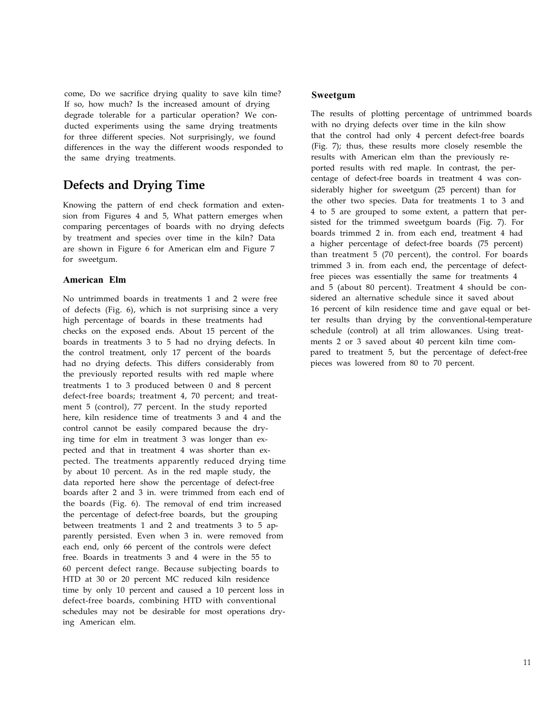come, Do we sacrifice drying quality to save kiln time? If so, how much? Is the increased amount of drying degrade tolerable for a particular operation? We conducted experiments using the same drying treatments for three different species. Not surprisingly, we found differences in the way the different woods responded to the same drying treatments.

# **Defects and Drying Time**

Knowing the pattern of end check formation and extension from Figures 4 and 5, What pattern emerges when comparing percentages of boards with no drying defects by treatment and species over time in the kiln? Data are shown in Figure 6 for American elm and Figure 7 for sweetgum.

#### **American Elm**

No untrimmed boards in treatments 1 and 2 were free of defects (Fig. 6), which is not surprising since a very high percentage of boards in these treatments had checks on the exposed ends. About 15 percent of the boards in treatments 3 to 5 had no drying defects. In the control treatment, only 17 percent of the boards had no drying defects. This differs considerably from the previously reported results with red maple where treatments 1 to 3 produced between 0 and 8 percent defect-free boards; treatment 4, 70 percent; and treatment 5 (control), 77 percent. In the study reported here, kiln residence time of treatments 3 and 4 and the control cannot be easily compared because the drying time for elm in treatment 3 was longer than expected and that in treatment 4 was shorter than expected. The treatments apparently reduced drying time by about 10 percent. As in the red maple study, the data reported here show the percentage of defect-free boards after 2 and 3 in. were trimmed from each end of the boards (Fig. 6). The removal of end trim increased the percentage of defect-free boards, but the grouping between treatments 1 and 2 and treatments 3 to 5 apparently persisted. Even when 3 in. were removed from each end, only 66 percent of the controls were defect free. Boards in treatments 3 and 4 were in the 55 to 60 percent defect range. Because subjecting boards to HTD at 30 or 20 percent MC reduced kiln residence time by only 10 percent and caused a 10 percent loss in defect-free boards, combining HTD with conventional schedules may not be desirable for most operations drying American elm.

#### **Sweetgum**

The results of plotting percentage of untrimmed boards with no drying defects over time in the kiln show that the control had only 4 percent defect-free boards (Fig. 7); thus, these results more closely resemble the results with American elm than the previously reported results with red maple. In contrast, the percentage of defect-free boards in treatment 4 was considerably higher for sweetgum (25 percent) than for the other two species. Data for treatments 1 to 3 and 4 to 5 are grouped to some extent, a pattern that persisted for the trimmed sweetgum boards (Fig. 7). For boards trimmed 2 in. from each end, treatment 4 had a higher percentage of defect-free boards (75 percent) than treatment 5 (70 percent), the control. For boards trimmed 3 in. from each end, the percentage of defectfree pieces was essentially the same for treatments 4 and 5 (about 80 percent). Treatment 4 should be considered an alternative schedule since it saved about 16 percent of kiln residence time and gave equal or better results than drying by the conventional-temperature schedule (control) at all trim allowances. Using treatments 2 or 3 saved about 40 percent kiln time compared to treatment 5, but the percentage of defect-free pieces was lowered from 80 to 70 percent.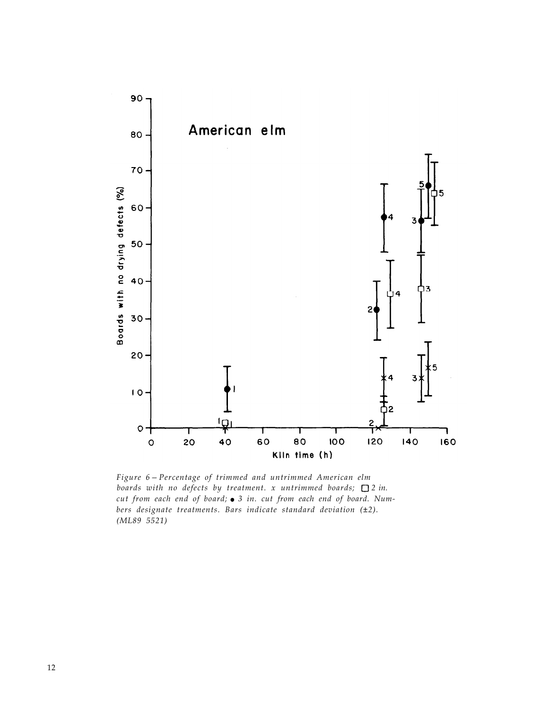

Figure 6 – Percentage of trimmed and untrimmed American elm *boards with no defects by treatment.* x untrimmed *boards*;  $\Box$  2 in. cut from each end of board;  $\bullet$  3 in. cut from each end of board. Num*bers designate treatments. Bars indicate standard deviation (±2). (ML89 5521)*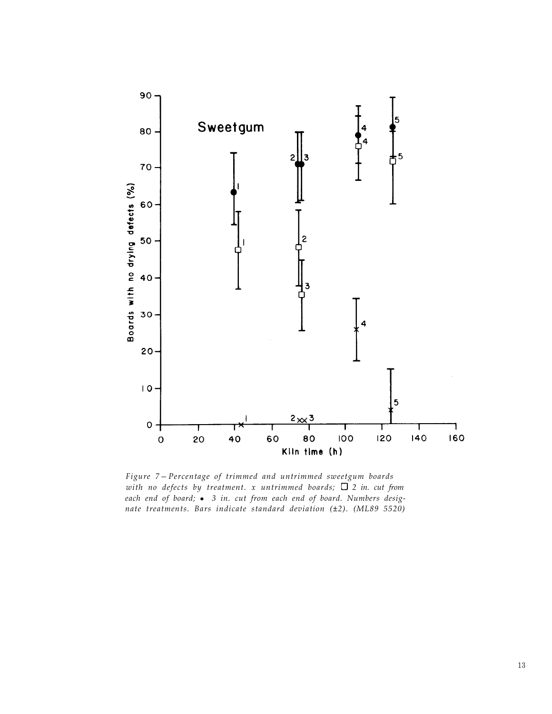

Figure 7-Percentage of trimmed and untrimmed sweetgum boards with no defects by treatment.  $x$  untrimmed boards;  $\Box$  2 in. cut from *each end of board;* ! *3 in. cut from each end of board. Numbers designate treatments. Bars indicate standard deviation (±2). (ML89 5520)*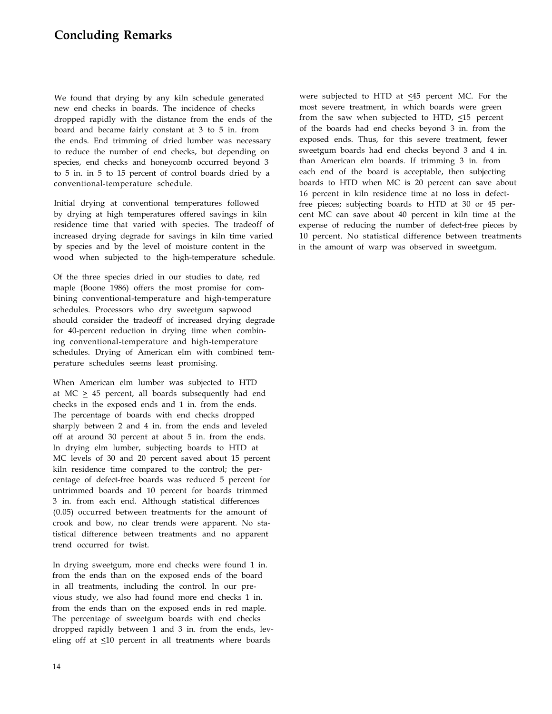### **Concluding Remarks**

We found that drying by any kiln schedule generated new end checks in boards. The incidence of checks dropped rapidly with the distance from the ends of the board and became fairly constant at 3 to 5 in. from the ends. End trimming of dried lumber was necessary to reduce the number of end checks, but depending on species, end checks and honeycomb occurred beyond 3 to 5 in. in 5 to 15 percent of control boards dried by a conventional-temperature schedule.

Initial drying at conventional temperatures followed by drying at high temperatures offered savings in kiln residence time that varied with species. The tradeoff of increased drying degrade for savings in kiln time varied by species and by the level of moisture content in the wood when subjected to the high-temperature schedule.

Of the three species dried in our studies to date, red maple (Boone 1986) offers the most promise for combining conventional-temperature and high-temperature schedules. Processors who dry sweetgum sapwood should consider the tradeoff of increased drying degrade for 40-percent reduction in drying time when combining conventional-temperature and high-temperature schedules. Drying of American elm with combined temperature schedules seems least promising.

When American elm lumber was subjected to HTD at MC  $\geq$  45 percent, all boards subsequently had end checks in the exposed ends and 1 in. from the ends. The percentage of boards with end checks dropped sharply between 2 and 4 in. from the ends and leveled off at around 30 percent at about 5 in. from the ends. In drying elm lumber, subjecting boards to HTD at MC levels of 30 and 20 percent saved about 15 percent kiln residence time compared to the control; the percentage of defect-free boards was reduced 5 percent for untrimmed boards and 10 percent for boards trimmed 3 in. from each end. Although statistical differences (0.05) occurred between treatments for the amount of crook and bow, no clear trends were apparent. No statistical difference between treatments and no apparent trend occurred for twist.

In drying sweetgum, more end checks were found 1 in. from the ends than on the exposed ends of the board in all treatments, including the control. In our previous study, we also had found more end checks 1 in. from the ends than on the exposed ends in red maple. The percentage of sweetgum boards with end checks dropped rapidly between 1 and 3 in. from the ends, leveling off at  $\leq 10$  percent in all treatments where boards

were subjected to HTD at  $\leq 45$  percent MC. For the most severe treatment, in which boards were green from the saw when subjected to HTD,  $\leq 15$  percent of the boards had end checks beyond 3 in. from the exposed ends. Thus, for this severe treatment, fewer sweetgum boards had end checks beyond 3 and 4 in. than American elm boards. If trimming 3 in. from each end of the board is acceptable, then subjecting boards to HTD when MC is 20 percent can save about 16 percent in kiln residence time at no loss in defectfree pieces; subjecting boards to HTD at 30 or 45 percent MC can save about 40 percent in kiln time at the expense of reducing the number of defect-free pieces by 10 percent. No statistical difference between treatments in the amount of warp was observed in sweetgum.